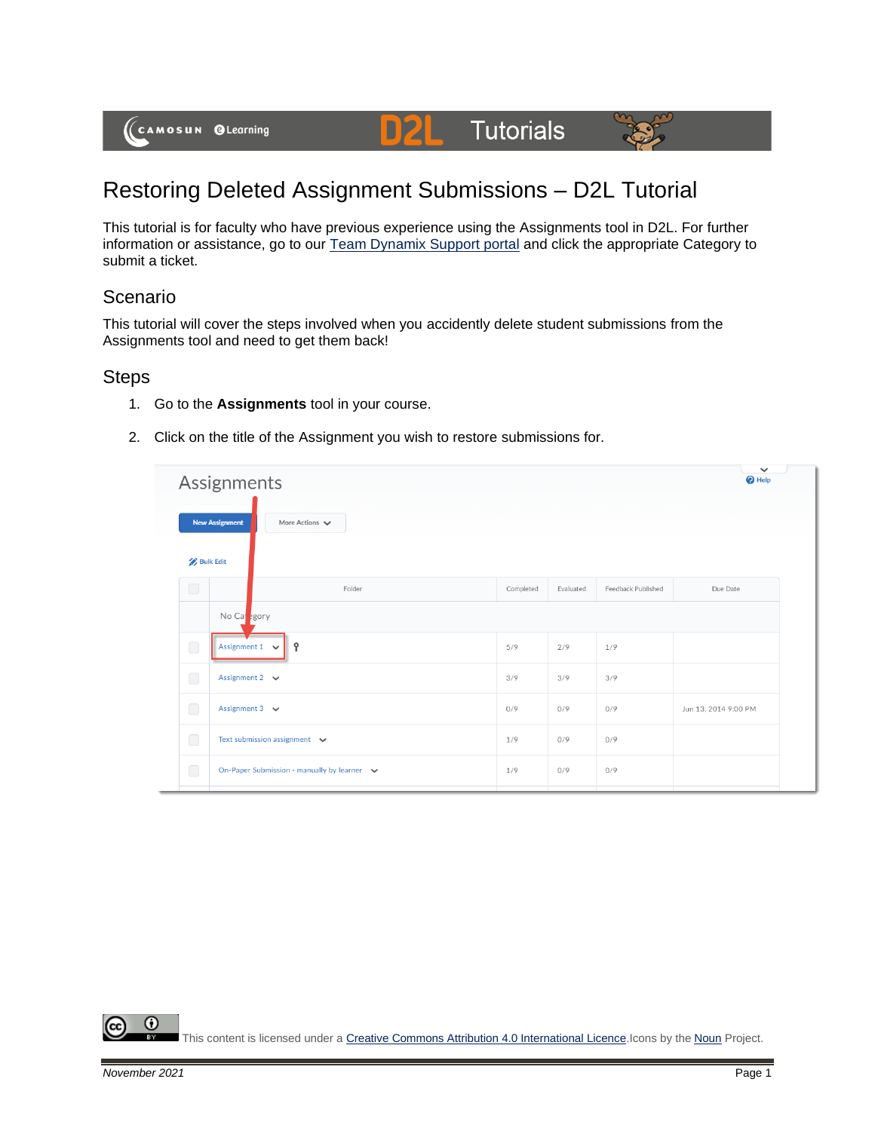

# **Tutorials**



# Restoring Deleted Assignment Submissions – D2L Tutorial

DZ

This tutorial is for faculty who have previous experience using the Assignments tool in D2L. For further information or assistance, go to our [Team Dynamix Support portal](https://camosun.teamdynamix.com/TDClient/67/Portal/Requests/ServiceCatalog?CategoryID=523) and click the appropriate Category to submit a ticket.

## Scenario

This tutorial will cover the steps involved when you accidently delete student submissions from the Assignments tool and need to get them back!

#### **Steps**

- 1. Go to the **Assignments** tool in your course.
- 2. Click on the title of the Assignment you wish to restore submissions for.

|                  | Assignments                                                 |           |           |                    |                      |  |  |
|------------------|-------------------------------------------------------------|-----------|-----------|--------------------|----------------------|--|--|
|                  | <b>New Assignment</b><br>More Actions $\blacktriangleright$ |           |           |                    |                      |  |  |
| <b>Bulk Edit</b> |                                                             |           |           |                    |                      |  |  |
| $\bigcirc$       | Folder                                                      | Completed | Evaluated | Feedback Published | Due Date             |  |  |
|                  | No Capegory                                                 |           |           |                    |                      |  |  |
| $\bigcirc$       | Assignment $1 \quad \vee$<br>Ŷ                              | 5/9       | 2/9       | 1/9                |                      |  |  |
| $\Box$           | Assignment 2 $\vee$                                         | 3/9       | 3/9       | 3/9                |                      |  |  |
| $\bigcirc$       | Assignment $3 \quad \vee$                                   | 0/9       | 0/9       | 0/9                | Jun 13, 2014 9:00 PM |  |  |
| $\bigcirc$       | Text submission assignment $\vee$                           | 1/9       | 0/9       | 0/9                |                      |  |  |
| $\bigcirc$       | On-Paper Submission - manually by learner v                 | 1/9       | 0/9       | 0/9                |                      |  |  |

⋒ This content is licensed under [a Creative Commons Attribution 4.0 International Licence.I](https://creativecommons.org/licenses/by/4.0/)cons by the [Noun](https://creativecommons.org/website-icons/) Project.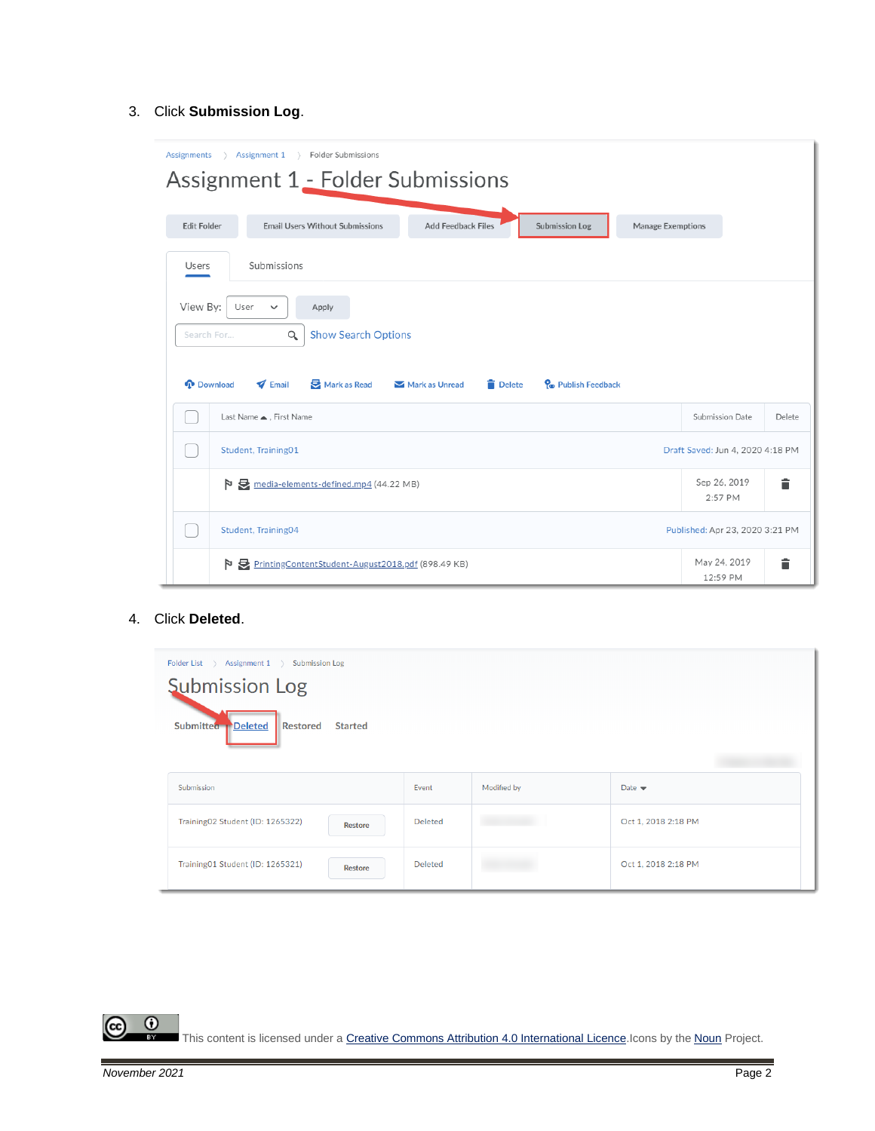#### 3. Click **Submission Log**.

| Assignments<br>Assignment 1<br>> Folder Submissions<br>$\rightarrow$<br>Assignment 1 - Folder Submissions                                                                                               |                                 |  |  |  |  |  |  |  |  |
|---------------------------------------------------------------------------------------------------------------------------------------------------------------------------------------------------------|---------------------------------|--|--|--|--|--|--|--|--|
| <b>Email Users Without Submissions</b><br><b>Add Feedback Files</b><br>Submission Log<br>Manage Exemptions<br><b>Edit Folder</b>                                                                        |                                 |  |  |  |  |  |  |  |  |
| Submissions<br>Users                                                                                                                                                                                    |                                 |  |  |  |  |  |  |  |  |
| View By:<br>User<br>Apply<br>$\checkmark$<br><b>Show Search Options</b><br>Q<br>Search For<br>Mark as Read<br>P <sub>o</sub> Publish Feedback<br><b>I</b> Download<br>Email<br>Mark as Unread<br>Delete |                                 |  |  |  |  |  |  |  |  |
| Last Name ▲, First Name                                                                                                                                                                                 | Submission Date<br>Delete       |  |  |  |  |  |  |  |  |
| Student, Training01<br>Draft Saved: Jun 4, 2020 4:18 PM                                                                                                                                                 |                                 |  |  |  |  |  |  |  |  |
| media-elements-defined.mp4 (44.22 MB)<br>Þ                                                                                                                                                              | ≐<br>Sep 26, 2019<br>2:57 PM    |  |  |  |  |  |  |  |  |
| Student, Training04                                                                                                                                                                                     | Published: Apr 23, 2020 3:21 PM |  |  |  |  |  |  |  |  |
| PrintingContentStudent-August2018.pdf (898.49 KB)<br>Þ                                                                                                                                                  | May 24, 2019<br>▬<br>12:59 PM   |  |  |  |  |  |  |  |  |

#### 4. Click **Deleted**.

| Folder List > Assignment 1 ><br><b>Submission Log</b><br><b>Submission Log</b> |                |             |                            |  |  |  |
|--------------------------------------------------------------------------------|----------------|-------------|----------------------------|--|--|--|
| Submitted PDeleted<br>Restored<br><b>Started</b>                               |                |             |                            |  |  |  |
| Submission                                                                     | Event          | Modified by | Date $\blacktriangleright$ |  |  |  |
| Training02 Student (ID: 1265322)<br><b>Restore</b>                             | Deleted        |             | Oct 1, 2018 2:18 PM        |  |  |  |
| Training01 Student (ID: 1265321)<br>Restore                                    | <b>Deleted</b> |             | Oct 1, 2018 2:18 PM        |  |  |  |

This content is licensed under [a Creative Commons Attribution 4.0 International Licence.I](https://creativecommons.org/licenses/by/4.0/)cons by the [Noun](https://creativecommons.org/website-icons/) Project.

 $\frac{0}{x}$ 

ල